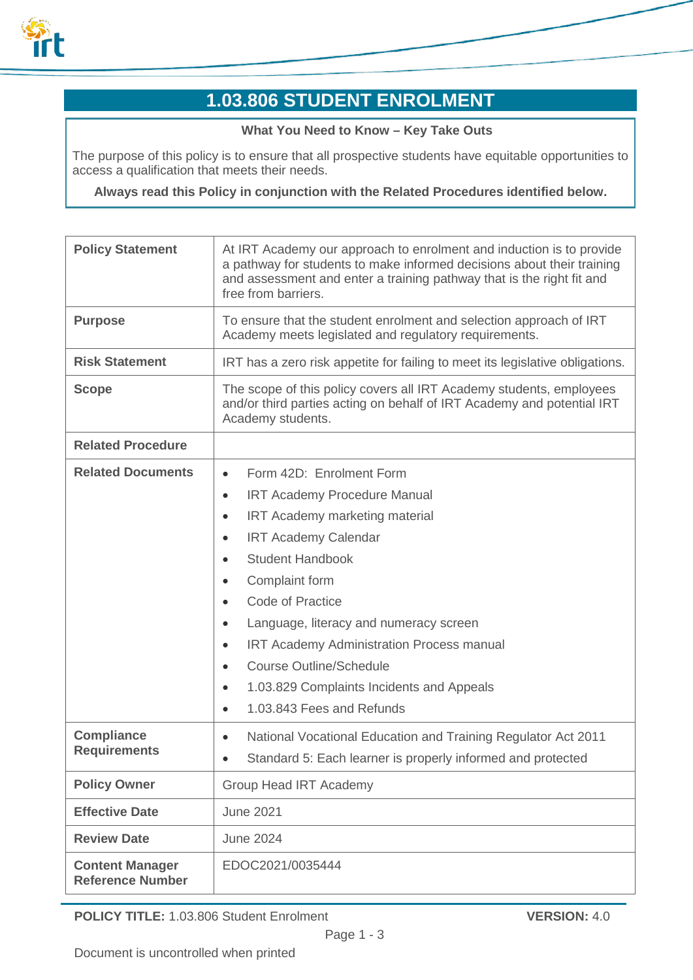

# **1.03.806 STUDENT ENROLMENT**

#### **What You Need to Know – Key Take Outs**

The purpose of this policy is to ensure that all prospective students have equitable opportunities to access a qualification that meets their needs.

**Always read this Policy in conjunction with the Related Procedures identified below.**

| <b>Policy Statement</b>                           | At IRT Academy our approach to enrolment and induction is to provide<br>a pathway for students to make informed decisions about their training<br>and assessment and enter a training pathway that is the right fit and<br>free from barriers. |  |
|---------------------------------------------------|------------------------------------------------------------------------------------------------------------------------------------------------------------------------------------------------------------------------------------------------|--|
| <b>Purpose</b>                                    | To ensure that the student enrolment and selection approach of IRT<br>Academy meets legislated and regulatory requirements.                                                                                                                    |  |
| <b>Risk Statement</b>                             | IRT has a zero risk appetite for failing to meet its legislative obligations.                                                                                                                                                                  |  |
| <b>Scope</b>                                      | The scope of this policy covers all IRT Academy students, employees<br>and/or third parties acting on behalf of IRT Academy and potential IRT<br>Academy students.                                                                             |  |
| <b>Related Procedure</b>                          |                                                                                                                                                                                                                                                |  |
| <b>Related Documents</b>                          | Form 42D: Enrolment Form<br>$\bullet$                                                                                                                                                                                                          |  |
|                                                   | <b>IRT Academy Procedure Manual</b><br>٠                                                                                                                                                                                                       |  |
|                                                   | IRT Academy marketing material<br>$\bullet$                                                                                                                                                                                                    |  |
|                                                   | <b>IRT Academy Calendar</b><br>$\bullet$                                                                                                                                                                                                       |  |
|                                                   | <b>Student Handbook</b>                                                                                                                                                                                                                        |  |
|                                                   | Complaint form<br>$\bullet$                                                                                                                                                                                                                    |  |
|                                                   | <b>Code of Practice</b>                                                                                                                                                                                                                        |  |
|                                                   | Language, literacy and numeracy screen<br>$\bullet$                                                                                                                                                                                            |  |
|                                                   | <b>IRT Academy Administration Process manual</b><br>$\bullet$                                                                                                                                                                                  |  |
|                                                   | <b>Course Outline/Schedule</b><br>$\bullet$                                                                                                                                                                                                    |  |
|                                                   | 1.03.829 Complaints Incidents and Appeals<br>$\bullet$                                                                                                                                                                                         |  |
|                                                   | 1.03.843 Fees and Refunds<br>$\bullet$                                                                                                                                                                                                         |  |
| <b>Compliance</b><br><b>Requirements</b>          | National Vocational Education and Training Regulator Act 2011<br>$\bullet$                                                                                                                                                                     |  |
|                                                   | Standard 5: Each learner is properly informed and protected                                                                                                                                                                                    |  |
| <b>Policy Owner</b>                               | <b>Group Head IRT Academy</b>                                                                                                                                                                                                                  |  |
| <b>Effective Date</b>                             | <b>June 2021</b>                                                                                                                                                                                                                               |  |
| <b>Review Date</b>                                | <b>June 2024</b>                                                                                                                                                                                                                               |  |
| <b>Content Manager</b><br><b>Reference Number</b> | EDOC2021/0035444                                                                                                                                                                                                                               |  |

**POLICY TITLE:** 1.03.806 Student Enrolment **VERSION:** 4.0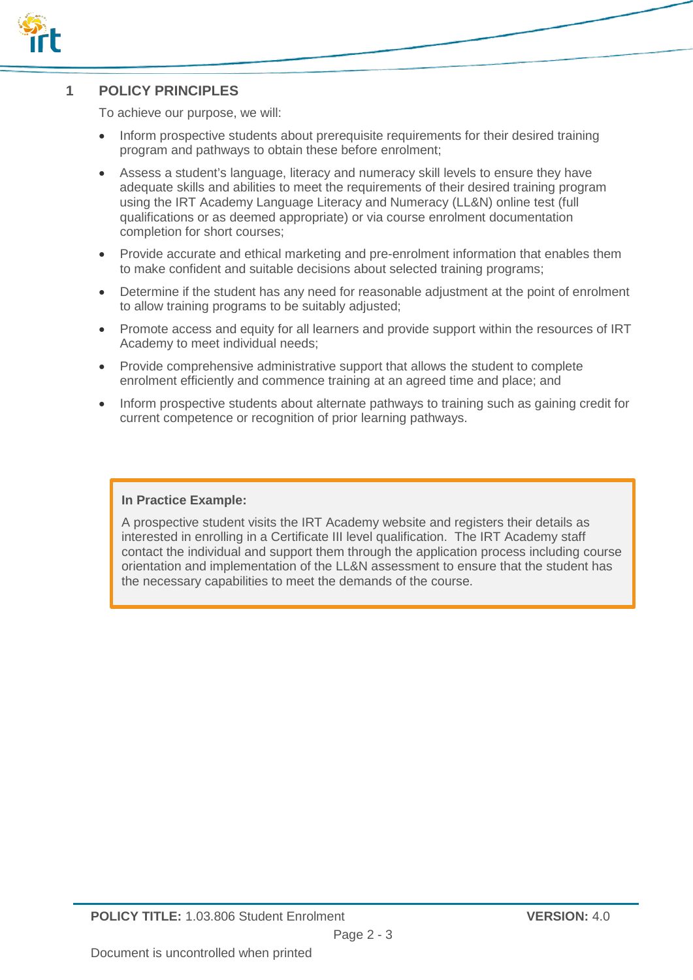

## **1 POLICY PRINCIPLES**

To achieve our purpose, we will:

- Inform prospective students about prerequisite requirements for their desired training program and pathways to obtain these before enrolment;
- Assess a student's language, literacy and numeracy skill levels to ensure they have adequate skills and abilities to meet the requirements of their desired training program using the IRT Academy Language Literacy and Numeracy (LL&N) online test (full qualifications or as deemed appropriate) or via course enrolment documentation completion for short courses;
- Provide accurate and ethical marketing and pre-enrolment information that enables them to make confident and suitable decisions about selected training programs;
- Determine if the student has any need for reasonable adjustment at the point of enrolment to allow training programs to be suitably adjusted;
- Promote access and equity for all learners and provide support within the resources of IRT Academy to meet individual needs;
- Provide comprehensive administrative support that allows the student to complete enrolment efficiently and commence training at an agreed time and place; and
- Inform prospective students about alternate pathways to training such as gaining credit for current competence or recognition of prior learning pathways.

#### **In Practice Example:**

A prospective student visits the IRT Academy website and registers their details as interested in enrolling in a Certificate III level qualification. The IRT Academy staff contact the individual and support them through the application process including course orientation and implementation of the LL&N assessment to ensure that the student has the necessary capabilities to meet the demands of the course.